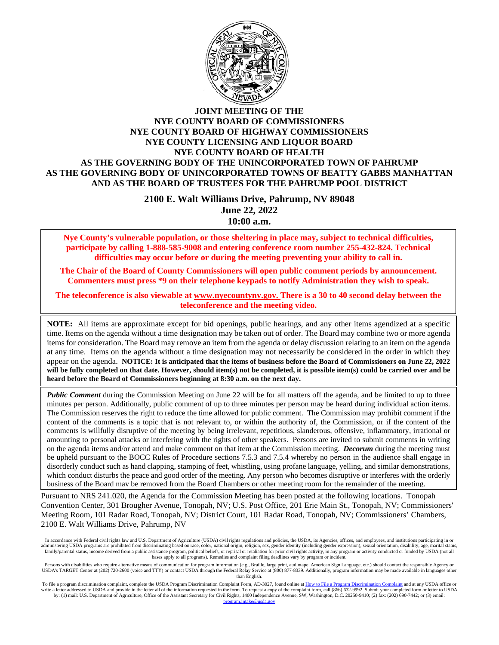

#### **JOINT MEETING OF THE NYE COUNTY BOARD OF COMMISSIONERS NYE COUNTY BOARD OF HIGHWAY COMMISSIONERS NYE COUNTY LICENSING AND LIQUOR BOARD NYE COUNTY BOARD OF HEALTH AS THE GOVERNING BODY OF THE UNINCORPORATED TOWN OF PAHRUMP AS THE GOVERNING BODY OF UNINCORPORATED TOWNS OF BEATTY GABBS MANHATTAN AND AS THE BOARD OF TRUSTEES FOR THE PAHRUMP POOL DISTRICT**

**2100 E. Walt Williams Drive, Pahrump, NV 89048 June 22, 2022 10:00 a.m.**

**Nye County's vulnerable population, or those sheltering in place may, subject to technical difficulties, participate by calling 1-888-585-9008 and entering conference room number 255-432-824. Technical difficulties may occur before or during the meeting preventing your ability to call in.** 

**The Chair of the Board of County Commissioners will open public comment periods by announcement. Commenters must press \*9 on their telephone keypads to notify Administration they wish to speak.** 

**The teleconference is also viewable at [www.nyecountynv.gov.](http://www.nyecountynv.gov/) There is a 30 to 40 second delay between the teleconference and the meeting video.**

**NOTE:** All items are approximate except for bid openings, public hearings, and any other items agendized at a specific time. Items on the agenda without a time designation may be taken out of order. The Board may combine two or more agenda items for consideration. The Board may remove an item from the agenda or delay discussion relating to an item on the agenda at any time. Items on the agenda without a time designation may not necessarily be considered in the order in which they appear on the agenda. **NOTICE: It is anticipated that the items of business before the Board of Commissioners on June 22, 2022 will be fully completed on that date. However, should item(s) not be completed, it is possible item(s) could be carried over and be heard before the Board of Commissioners beginning at 8:30 a.m. on the next day.**

*Public Comment* during the Commission Meeting on June 22 will be for all matters off the agenda, and be limited to up to three minutes per person. Additionally, public comment of up to three minutes per person may be heard during individual action items. The Commission reserves the right to reduce the time allowed for public comment. The Commission may prohibit comment if the content of the comments is a topic that is not relevant to, or within the authority of, the Commission, or if the content of the comments is willfully disruptive of the meeting by being irrelevant, repetitious, slanderous, offensive, inflammatory, irrational or amounting to personal attacks or interfering with the rights of other speakers. Persons are invited to submit comments in writing on the agenda items and/or attend and make comment on that item at the Commission meeting. *Decorum* during the meeting must be upheld pursuant to the BOCC Rules of Procedure sections 7.5.3 and 7.5.4 whereby no person in the audience shall engage in disorderly conduct such as hand clapping, stamping of feet, whistling, using profane language, yelling, and similar demonstrations, which conduct disturbs the peace and good order of the meeting. Any person who becomes disruptive or interferes with the orderly business of the Board may be removed from the Board Chambers or other meeting room for the remainder of the meeting.

Pursuant to NRS 241.020, the Agenda for the Commission Meeting has been posted at the following locations. Tonopah Convention Center, 301 Brougher Avenue, Tonopah, NV; U.S. Post Office, 201 Erie Main St., Tonopah, NV; Commissioners' Meeting Room, 101 Radar Road, Tonopah, NV; District Court, 101 Radar Road, Tonopah, NV; Commissioners' Chambers, 2100 E. Walt Williams Drive, Pahrump, NV

In accordance with Federal civil rights law and U.S. Department of Agriculture (USDA) civil rights regulations and policies, the USDA, its Agencies, offices, and employees, and institutions participating in or administering USDA programs are prohibited from discriminating based on race, color, national origin, religion, sex, gender identity (including gender expression), sexual orientation, disability, age, marital status, family/parental status, income derived from a public assistance program, political beliefs, or reprisal or retaliation for prior civil rights activity, in any program or activity conducted or funded by USDA (not all bases apply to all programs). Remedies and complaint filing deadlines vary by program or incident.

Persons with disabilities who require alternative means of communication for program information (e.g., Braille, large print, audiotape, American Sign Language, etc.) should contact the responsible Agency or USDA's TARGET Center at (202) 720-2600 (voice and TTY) or contact USDA through the Federal Relay Service at (800) 877-8339. Additionally, program information may be made available in languages other than English.

To file a program discrimination complaint, complete the USDA Program Discrimination Complaint Form, AD-3027, found online a[t How to File a Program Discrimination Complaint](https://www.ascr.usda.gov/how-file-program-discrimination-complaint) and at any USDA office or write a letter addressed to USDA and provide in the letter all of the information requested in the form. To request a copy of the complaint form, call (866) 632-9992. Submit your completed form or letter to USDA by: (1) ma da ooy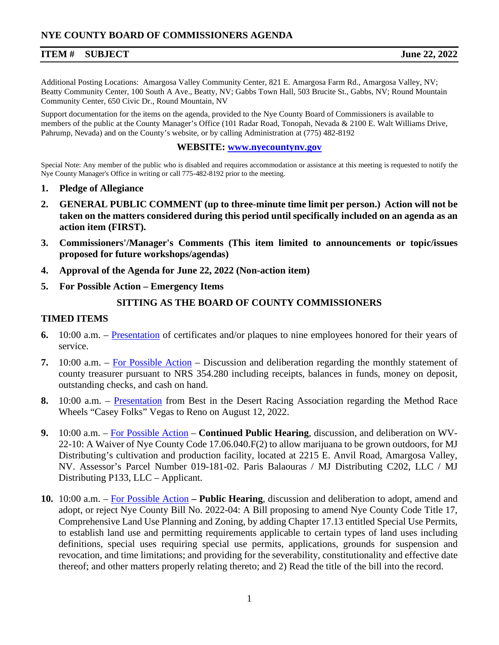Additional Posting Locations: Amargosa Valley Community Center, 821 E. Amargosa Farm Rd., Amargosa Valley, NV; Beatty Community Center, 100 South A Ave., Beatty, NV; Gabbs Town Hall, 503 Brucite St., Gabbs, NV; Round Mountain Community Center, 650 Civic Dr., Round Mountain, NV

Support documentation for the items on the agenda, provided to the Nye County Board of Commissioners is available to members of the public at the County Manager's Office (101 Radar Road, Tonopah, Nevada & 2100 E. Walt Williams Drive, Pahrump, Nevada) and on the County's website, or by calling Administration at (775) 482-8192

#### **WEBSITE: [www.nyecountynv.gov](http://www.nyecountynv.gov/)**

Special Note: Any member of the public who is disabled and requires accommodation or assistance at this meeting is requested to notify the Nye County Manager's Office in writing or call 775-482-8192 prior to the meeting.

- **1. Pledge of Allegiance**
- **2. GENERAL PUBLIC COMMENT (up to three-minute time limit per person.) Action will not be taken on the matters considered during this period until specifically included on an agenda as an action item (FIRST).**
- **3. Commissioners'/Manager's Comments (This item limited to announcements or topic/issues proposed for future workshops/agendas)**
- **4. Approval of the Agenda for June 22, 2022 (Non-action item)**
- **5. For Possible Action – Emergency Items**

# **SITTING AS THE BOARD OF COUNTY COMMISSIONERS**

### **TIMED ITEMS**

- **6.** 10:00 a.m. [Presentation](https://www.nyecountynv.gov/DocumentCenter/View/41403/Item6) of certificates and/or plaques to nine employees honored for their years of service.
- **7.** 10:00 a.m. [For Possible Action](https://www.nyecountynv.gov/DocumentCenter/View/41404/Item7) Discussion and deliberation regarding the monthly statement of county treasurer pursuant to NRS 354.280 including receipts, balances in funds, money on deposit, outstanding checks, and cash on hand.
- **8.** 10:00 a.m. [Presentation](https://www.nyecountynv.gov/DocumentCenter/View/41405/Item8) from Best in the Desert Racing Association regarding the Method Race Wheels "Casey Folks" Vegas to Reno on August 12, 2022.
- **9.** 10:00 a.m. [For Possible Action](https://www.nyecountynv.gov/DocumentCenter/View/41406/Item9) **Continued Public Hearing**, discussion, and deliberation on WV-22-10: A Waiver of Nye County Code 17.06.040.F(2) to allow marijuana to be grown outdoors, for MJ Distributing's cultivation and production facility, located at 2215 E. Anvil Road, Amargosa Valley, NV. Assessor's Parcel Number 019-181-02. Paris Balaouras / MJ Distributing C202, LLC / MJ Distributing P133, LLC – Applicant.
- **10.** 10:00 a.m. [For Possible Action](https://www.nyecountynv.gov/DocumentCenter/View/41407/Item10) **– Public Hearing**, discussion and deliberation to adopt, amend and adopt, or reject Nye County Bill No. 2022-04: A Bill proposing to amend Nye County Code Title 17, Comprehensive Land Use Planning and Zoning, by adding Chapter 17.13 entitled Special Use Permits, to establish land use and permitting requirements applicable to certain types of land uses including definitions, special uses requiring special use permits, applications, grounds for suspension and revocation, and time limitations; and providing for the severability, constitutionality and effective date thereof; and other matters properly relating thereto; and 2) Read the title of the bill into the record.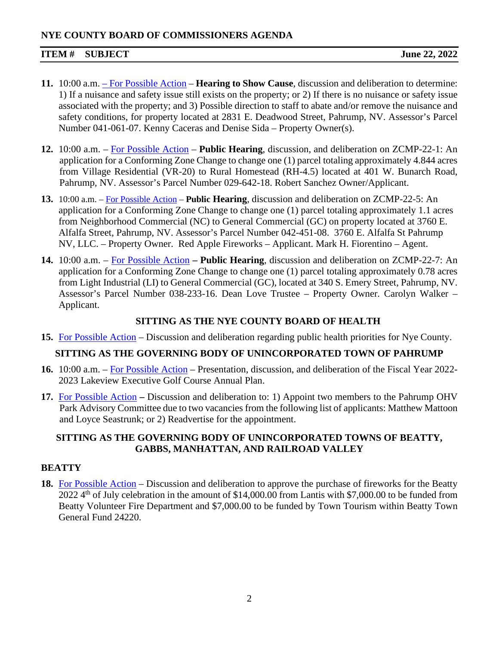# **NYE COUNTY BOARD OF COMMISSIONERS AGENDA**

# **ITEM # SUBJECT June 22, 2022**

- **11.** 10:00 a.m. [For Possible Action](https://www.nyecountynv.gov/DocumentCenter/View/41408/Item11) **Hearing to Show Cause**, discussion and deliberation to determine: 1) If a nuisance and safety issue still exists on the property; or 2) If there is no nuisance or safety issue associated with the property; and 3) Possible direction to staff to abate and/or remove the nuisance and safety conditions, for property located at 2831 E. Deadwood Street, Pahrump, NV. Assessor's Parcel Number 041-061-07. Kenny Caceras and Denise Sida – Property Owner(s).
- **12.** 10:00 a.m. [For Possible Action](https://www.nyecountynv.gov/DocumentCenter/View/41409/Item12) **Public Hearing**, discussion, and deliberation on ZCMP-22-1: An application for a Conforming Zone Change to change one (1) parcel totaling approximately 4.844 acres from Village Residential (VR-20) to Rural Homestead (RH-4.5) located at 401 W. Bunarch Road, Pahrump, NV. Assessor's Parcel Number 029-642-18. Robert Sanchez Owner/Applicant.
- **13.** 10:00 a.m. [For Possible Action](https://www.nyecountynv.gov/DocumentCenter/View/41410/Item13) **Public Hearing**, discussion and deliberation on ZCMP-22-5: An application for a Conforming Zone Change to change one (1) parcel totaling approximately 1.1 acres from Neighborhood Commercial (NC) to General Commercial (GC) on property located at 3760 E. Alfalfa Street, Pahrump, NV. Assessor's Parcel Number 042-451-08. 3760 E. Alfalfa St Pahrump NV, LLC. – Property Owner. Red Apple Fireworks – Applicant. Mark H. Fiorentino – Agent.
- **14.** 10:00 a.m. [For Possible Action](https://www.nyecountynv.gov/DocumentCenter/View/41411/Item14) **– Public Hearing**, discussion and deliberation on ZCMP-22-7: An application for a Conforming Zone Change to change one (1) parcel totaling approximately 0.78 acres from Light Industrial (LI) to General Commercial (GC), located at 340 S. Emery Street, Pahrump, NV. Assessor's Parcel Number 038-233-16. Dean Love Trustee – Property Owner. Carolyn Walker – Applicant.

# **SITTING AS THE NYE COUNTY BOARD OF HEALTH**

**15.** [For Possible Action](https://www.nyecountynv.gov/DocumentCenter/View/41412/Item15) – Discussion and deliberation regarding public health priorities for Nye County.

# **SITTING AS THE GOVERNING BODY OF UNINCORPORATED TOWN OF PAHRUMP**

- **16.** 10:00 a.m. [For Possible Action](https://www.nyecountynv.gov/DocumentCenter/View/41413/Item16) Presentation, discussion, and deliberation of the Fiscal Year 2022- 2023 Lakeview Executive Golf Course Annual Plan.
- **17.** [For Possible Action](https://www.nyecountynv.gov/DocumentCenter/View/41414/Item17) **–** Discussion and deliberation to: 1) Appoint two members to the Pahrump OHV Park Advisory Committee due to two vacancies from the following list of applicants: Matthew Mattoon and Loyce Seastrunk; or 2) Readvertise for the appointment.

# **SITTING AS THE GOVERNING BODY OF UNINCORPORATED TOWNS OF BEATTY, GABBS, MANHATTAN, AND RAILROAD VALLEY**

# **BEATTY**

**18.** [For Possible Action](https://www.nyecountynv.gov/DocumentCenter/View/41415/Item18) – Discussion and deliberation to approve the purchase of fireworks for the Beatty 2022  $4<sup>th</sup>$  of July celebration in the amount of \$14,000.00 from Lantis with \$7,000.00 to be funded from Beatty Volunteer Fire Department and \$7,000.00 to be funded by Town Tourism within Beatty Town General Fund 24220.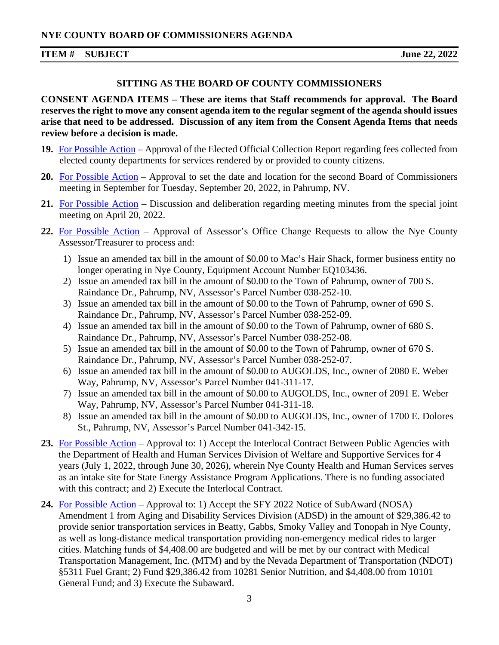### **SITTING AS THE BOARD OF COUNTY COMMISSIONERS**

**CONSENT AGENDA ITEMS – These are items that Staff recommends for approval. The Board reserves the right to move any consent agenda item to the regular segment of the agenda should issues arise that need to be addressed. Discussion of any item from the Consent Agenda Items that needs review before a decision is made.** 

- **19.** [For Possible Action](https://www.nyecountynv.gov/DocumentCenter/View/41416/Item19) Approval of the Elected Official Collection Report regarding fees collected from elected county departments for services rendered by or provided to county citizens.
- **20.** [For Possible Action](https://www.nyecountynv.gov/DocumentCenter/View/41417/Item20) Approval to set the date and location for the second Board of Commissioners meeting in September for Tuesday, September 20, 2022, in Pahrump, NV.
- **21.** [For Possible Action](https://www.nyecountynv.gov/DocumentCenter/View/41418/Item21) Discussion and deliberation regarding meeting minutes from the special joint meeting on April 20, 2022.
- **22.** [For Possible Action](https://www.nyecountynv.gov/DocumentCenter/View/41419/Item22) Approval of Assessor's Office Change Requests to allow the Nye County Assessor/Treasurer to process and:
	- 1) Issue an amended tax bill in the amount of \$0.00 to Mac's Hair Shack, former business entity no longer operating in Nye County, Equipment Account Number EQ103436.
	- 2) Issue an amended tax bill in the amount of \$0.00 to the Town of Pahrump, owner of 700 S. Raindance Dr., Pahrump, NV, Assessor's Parcel Number 038-252-10.
	- 3) Issue an amended tax bill in the amount of \$0.00 to the Town of Pahrump, owner of 690 S. Raindance Dr., Pahrump, NV, Assessor's Parcel Number 038-252-09.
	- 4) Issue an amended tax bill in the amount of \$0.00 to the Town of Pahrump, owner of 680 S. Raindance Dr., Pahrump, NV, Assessor's Parcel Number 038-252-08.
	- 5) Issue an amended tax bill in the amount of \$0.00 to the Town of Pahrump, owner of 670 S. Raindance Dr., Pahrump, NV, Assessor's Parcel Number 038-252-07.
	- 6) Issue an amended tax bill in the amount of \$0.00 to AUGOLDS, Inc., owner of 2080 E. Weber Way, Pahrump, NV, Assessor's Parcel Number 041-311-17.
	- 7) Issue an amended tax bill in the amount of \$0.00 to AUGOLDS, Inc., owner of 2091 E. Weber Way, Pahrump, NV, Assessor's Parcel Number 041-311-18.
	- 8) Issue an amended tax bill in the amount of \$0.00 to AUGOLDS, Inc., owner of 1700 E. Dolores St., Pahrump, NV, Assessor's Parcel Number 041-342-15.
- **23.** [For Possible Action](https://www.nyecountynv.gov/DocumentCenter/View/41420/Item23) Approval to: 1) Accept the Interlocal Contract Between Public Agencies with the Department of Health and Human Services Division of Welfare and Supportive Services for 4 years (July 1, 2022, through June 30, 2026), wherein Nye County Health and Human Services serves as an intake site for State Energy Assistance Program Applications. There is no funding associated with this contract; and 2) Execute the Interlocal Contract.
- **24.** [For Possible Action](https://www.nyecountynv.gov/DocumentCenter/View/41421/Item24) Approval to: 1) Accept the SFY 2022 Notice of SubAward (NOSA) Amendment 1 from Aging and Disability Services Division (ADSD) in the amount of \$29,386.42 to provide senior transportation services in Beatty, Gabbs, Smoky Valley and Tonopah in Nye County, as well as long-distance medical transportation providing non-emergency medical rides to larger cities. Matching funds of \$4,408.00 are budgeted and will be met by our contract with Medical Transportation Management, Inc. (MTM) and by the Nevada Department of Transportation (NDOT) §5311 Fuel Grant; 2) Fund \$29,386.42 from 10281 Senior Nutrition, and \$4,408.00 from 10101 General Fund; and 3) Execute the Subaward.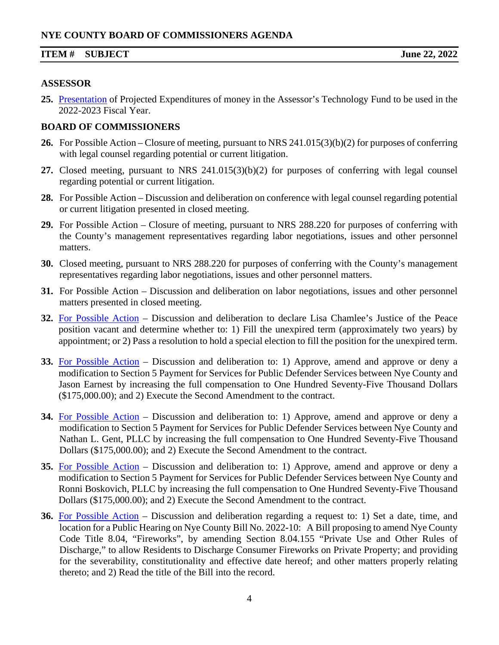#### **ASSESSOR**

**25.** [Presentation](https://www.nyecountynv.gov/DocumentCenter/View/41422/Item25) of Projected Expenditures of money in the Assessor's Technology Fund to be used in the 2022-2023 Fiscal Year.

#### **BOARD OF COMMISSIONERS**

- **26.** For Possible Action Closure of meeting, pursuant to NRS 241.015(3)(b)(2) for purposes of conferring with legal counsel regarding potential or current litigation.
- **27.** Closed meeting, pursuant to NRS 241.015(3)(b)(2) for purposes of conferring with legal counsel regarding potential or current litigation.
- **28.** For Possible Action Discussion and deliberation on conference with legal counsel regarding potential or current litigation presented in closed meeting.
- **29.** For Possible Action Closure of meeting, pursuant to NRS 288.220 for purposes of conferring with the County's management representatives regarding labor negotiations, issues and other personnel matters.
- **30.** Closed meeting, pursuant to NRS 288.220 for purposes of conferring with the County's management representatives regarding labor negotiations, issues and other personnel matters.
- **31.** For Possible Action Discussion and deliberation on labor negotiations, issues and other personnel matters presented in closed meeting.
- **32.** [For Possible Action](https://www.nyecountynv.gov/DocumentCenter/View/41423/Item32) Discussion and deliberation to declare Lisa Chamlee's Justice of the Peace position vacant and determine whether to: 1) Fill the unexpired term (approximately two years) by appointment; or 2) Pass a resolution to hold a special election to fill the position for the unexpired term.
- **33.** [For Possible Action](https://www.nyecountynv.gov/DocumentCenter/View/41424/Item33) Discussion and deliberation to: 1) Approve, amend and approve or deny a modification to Section 5 Payment for Services for Public Defender Services between Nye County and Jason Earnest by increasing the full compensation to One Hundred Seventy-Five Thousand Dollars (\$175,000.00); and 2) Execute the Second Amendment to the contract.
- **34.** [For Possible Action](https://www.nyecountynv.gov/DocumentCenter/View/41425/Item34) Discussion and deliberation to: 1) Approve, amend and approve or deny a modification to Section 5 Payment for Services for Public Defender Services between Nye County and Nathan L. Gent, PLLC by increasing the full compensation to One Hundred Seventy-Five Thousand Dollars (\$175,000.00); and 2) Execute the Second Amendment to the contract.
- **35.** [For Possible Action](https://www.nyecountynv.gov/DocumentCenter/View/41426/Item35) Discussion and deliberation to: 1) Approve, amend and approve or deny a modification to Section 5 Payment for Services for Public Defender Services between Nye County and Ronni Boskovich, PLLC by increasing the full compensation to One Hundred Seventy-Five Thousand Dollars (\$175,000.00); and 2) Execute the Second Amendment to the contract.
- **36.** [For Possible Action](https://www.nyecountynv.gov/DocumentCenter/View/41427/Item36) Discussion and deliberation regarding a request to: 1) Set a date, time, and location for a Public Hearing on Nye County Bill No. 2022**-**10: A Bill proposing to amend Nye County Code Title 8.04, "Fireworks", by amending Section 8.04.155 "Private Use and Other Rules of Discharge," to allow Residents to Discharge Consumer Fireworks on Private Property; and providing for the severability, constitutionality and effective date hereof; and other matters properly relating thereto; and 2) Read the title of the Bill into the record.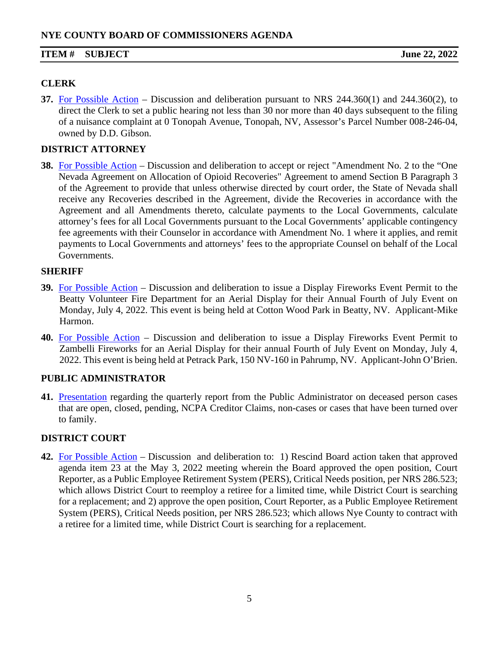# **CLERK**

**37.** [For Possible Action](https://www.nyecountynv.gov/DocumentCenter/View/41428/Item37) – Discussion and deliberation pursuant to NRS 244.360(1) and 244.360(2), to direct the Clerk to set a public hearing not less than 30 nor more than 40 days subsequent to the filing of a nuisance complaint at 0 Tonopah Avenue, Tonopah, NV, Assessor's Parcel Number 008-246-04, owned by D.D. Gibson.

# **DISTRICT ATTORNEY**

**38.** [For Possible Action](https://www.nyecountynv.gov/DocumentCenter/View/41429/Item38) – Discussion and deliberation to accept or reject "Amendment No. 2 to the "One Nevada Agreement on Allocation of Opioid Recoveries" Agreement to amend Section B Paragraph 3 of the Agreement to provide that unless otherwise directed by court order, the State of Nevada shall receive any Recoveries described in the Agreement, divide the Recoveries in accordance with the Agreement and all Amendments thereto, calculate payments to the Local Governments, calculate attorney's fees for all Local Governments pursuant to the Local Governments' applicable contingency fee agreements with their Counselor in accordance with Amendment No. 1 where it applies, and remit payments to Local Governments and attorneys' fees to the appropriate Counsel on behalf of the Local Governments.

# **SHERIFF**

- **39.** [For Possible Action](https://www.nyecountynv.gov/DocumentCenter/View/41430/Item39) Discussion and deliberation to issue a Display Fireworks Event Permit to the Beatty Volunteer Fire Department for an Aerial Display for their Annual Fourth of July Event on Monday, July 4, 2022. This event is being held at Cotton Wood Park in Beatty, NV. Applicant-Mike Harmon.
- **40.** [For Possible Action](https://www.nyecountynv.gov/DocumentCenter/View/41431/Item40) Discussion and deliberation to issue a Display Fireworks Event Permit to Zambelli Fireworks for an Aerial Display for their annual Fourth of July Event on Monday, July 4, 2022. This event is being held at Petrack Park, 150 NV-160 in Pahrump, NV. Applicant-John O'Brien.

# **PUBLIC ADMINISTRATOR**

**41.** [Presentation](https://www.nyecountynv.gov/DocumentCenter/View/41432/Item41) regarding the quarterly report from the Public Administrator on deceased person cases that are open, closed, pending, NCPA Creditor Claims, non-cases or cases that have been turned over to family.

# **DISTRICT COURT**

**42.** [For Possible Action](https://www.nyecountynv.gov/DocumentCenter/View/41433/Item42) – Discussion and deliberation to: 1) Rescind Board action taken that approved agenda item 23 at the May 3, 2022 meeting wherein the Board approved the open position, Court Reporter, as a Public Employee Retirement System (PERS), Critical Needs position, per NRS 286.523; which allows District Court to reemploy a retiree for a limited time, while District Court is searching for a replacement; and 2) approve the open position, Court Reporter, as a Public Employee Retirement System (PERS), Critical Needs position, per NRS 286.523; which allows Nye County to contract with a retiree for a limited time, while District Court is searching for a replacement.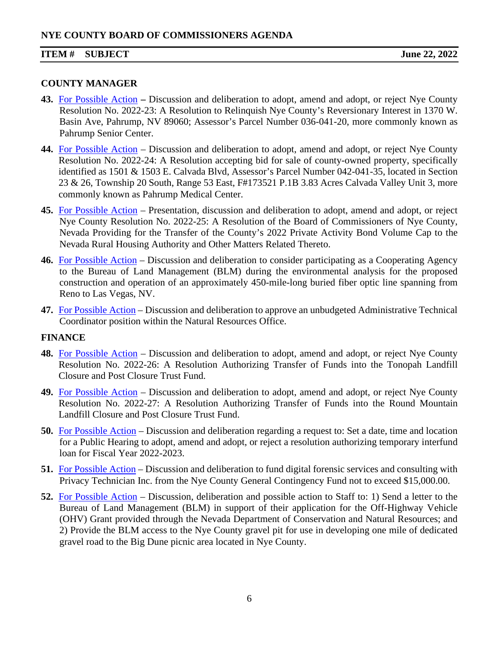#### **COUNTY MANAGER**

- **43.** [For Possible Action](https://www.nyecountynv.gov/DocumentCenter/View/41434/Item43) **–** Discussion and deliberation to adopt, amend and adopt, or reject Nye County Resolution No. 2022-23: A Resolution to Relinquish Nye County's Reversionary Interest in 1370 W. Basin Ave, Pahrump, NV 89060; Assessor's Parcel Number 036-041-20, more commonly known as Pahrump Senior Center.
- **44.** [For Possible Action](https://www.nyecountynv.gov/DocumentCenter/View/41435/Item44) Discussion and deliberation to adopt, amend and adopt, or reject Nye County Resolution No. 2022-24: A Resolution accepting bid for sale of county-owned property, specifically identified as 1501 & 1503 E. Calvada Blvd, Assessor's Parcel Number 042-041-35, located in Section 23 & 26, Township 20 South, Range 53 East, F#173521 P.1B 3.83 Acres Calvada Valley Unit 3, more commonly known as Pahrump Medical Center.
- **45.** [For Possible Action](https://www.nyecountynv.gov/DocumentCenter/View/41436/Item45) Presentation, discussion and deliberation to adopt, amend and adopt, or reject Nye County Resolution No. 2022-25: A Resolution of the Board of Commissioners of Nye County, Nevada Providing for the Transfer of the County's 2022 Private Activity Bond Volume Cap to the Nevada Rural Housing Authority and Other Matters Related Thereto.
- **46.** [For Possible Action](https://www.nyecountynv.gov/DocumentCenter/View/41437/Item46) Discussion and deliberation to consider participating as a Cooperating Agency to the Bureau of Land Management (BLM) during the environmental analysis for the proposed construction and operation of an approximately 450-mile-long buried fiber optic line spanning from Reno to Las Vegas, NV.
- **47.** [For Possible Action](https://www.nyecountynv.gov/DocumentCenter/View/41438/Item47) Discussion and deliberation to approve an unbudgeted Administrative Technical Coordinator position within the Natural Resources Office.

# **FINANCE**

- **48.** [For Possible Action](https://www.nyecountynv.gov/DocumentCenter/View/41439/Item48) Discussion and deliberation to adopt, amend and adopt, or reject Nye County Resolution No. 2022-26: A Resolution Authorizing Transfer of Funds into the Tonopah Landfill Closure and Post Closure Trust Fund.
- **49.** [For Possible Action](https://www.nyecountynv.gov/DocumentCenter/View/41440/Item49) Discussion and deliberation to adopt, amend and adopt, or reject Nye County Resolution No. 2022-27: A Resolution Authorizing Transfer of Funds into the Round Mountain Landfill Closure and Post Closure Trust Fund.
- **50.** [For Possible Action](https://www.nyecountynv.gov/DocumentCenter/View/41441/Item50) Discussion and deliberation regarding a request to: Set a date, time and location for a Public Hearing to adopt, amend and adopt, or reject a resolution authorizing temporary interfund loan for Fiscal Year 2022-2023.
- **51.** [For Possible Action](https://www.nyecountynv.gov/DocumentCenter/View/41442/Item51) Discussion and deliberation to fund digital forensic services and consulting with Privacy Technician Inc. from the Nye County General Contingency Fund not to exceed \$15,000.00.
- **52.** [For Possible Action](https://www.nyecountynv.gov/DocumentCenter/View/41443/Item52) Discussion, deliberation and possible action to Staff to: 1) Send a letter to the Bureau of Land Management (BLM) in support of their application for the Off-Highway Vehicle (OHV) Grant provided through the Nevada Department of Conservation and Natural Resources; and 2) Provide the BLM access to the Nye County gravel pit for use in developing one mile of dedicated gravel road to the Big Dune picnic area located in Nye County.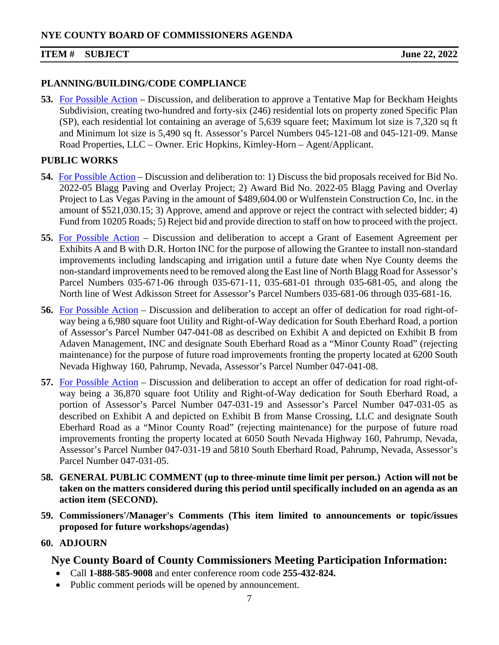### **PLANNING/BUILDING/CODE COMPLIANCE**

**53.** [For Possible Action](https://www.nyecountynv.gov/DocumentCenter/View/41444/Item53) – Discussion, and deliberation to approve a Tentative Map for Beckham Heights Subdivision, creating two-hundred and forty-six (246) residential lots on property zoned Specific Plan (SP), each residential lot containing an average of 5,639 square feet; Maximum lot size is 7,320 sq ft and Minimum lot size is 5,490 sq ft. Assessor's Parcel Numbers 045-121-08 and 045-121-09. Manse Road Properties, LLC – Owner. Eric Hopkins, Kimley-Horn – Agent/Applicant.

# **PUBLIC WORKS**

- **54.** [For Possible Action](https://www.nyecountynv.gov/DocumentCenter/View/41445/Item54) Discussion and deliberation to: 1) Discuss the bid proposals received for Bid No. 2022-05 Blagg Paving and Overlay Project; 2) Award Bid No. 2022-05 Blagg Paving and Overlay Project to Las Vegas Paving in the amount of \$489,604.00 or Wulfenstein Construction Co, Inc. in the amount of \$521,030.15; 3) Approve, amend and approve or reject the contract with selected bidder; 4) Fund from 10205 Roads; 5) Reject bid and provide direction to staff on how to proceed with the project.
- **55.** [For Possible Action](https://www.nyecountynv.gov/DocumentCenter/View/41446/Item55) Discussion and deliberation to accept a Grant of Easement Agreement per Exhibits A and B with D.R. Horton INC for the purpose of allowing the Grantee to install non-standard improvements including landscaping and irrigation until a future date when Nye County deems the non-standard improvements need to be removed along the East line of North Blagg Road for Assessor's Parcel Numbers 035-671-06 through 035-671-11, 035-681-01 through 035-681-05, and along the North line of West Adkisson Street for Assessor's Parcel Numbers 035-681-06 through 035-681-16.
- **56.** [For Possible Action](https://www.nyecountynv.gov/DocumentCenter/View/41447/Item56) Discussion and deliberation to accept an offer of dedication for road right-ofway being a 6,980 square foot Utility and Right-of-Way dedication for South Eberhard Road, a portion of Assessor's Parcel Number 047-041-08 as described on Exhibit A and depicted on Exhibit B from Adaven Management, INC and designate South Eberhard Road as a "Minor County Road" (rejecting maintenance) for the purpose of future road improvements fronting the property located at 6200 South Nevada Highway 160, Pahrump, Nevada, Assessor's Parcel Number 047-041-08.
- **57.** [For Possible Action](https://www.nyecountynv.gov/DocumentCenter/View/41448/Item57) Discussion and deliberation to accept an offer of dedication for road right-ofway being a 36,870 square foot Utility and Right-of-Way dedication for South Eberhard Road, a portion of Assessor's Parcel Number 047-031-19 and Assessor's Parcel Number 047-031-05 as described on Exhibit A and depicted on Exhibit B from Manse Crossing, LLC and designate South Eberhard Road as a "Minor County Road" (rejecting maintenance) for the purpose of future road improvements fronting the property located at 6050 South Nevada Highway 160, Pahrump, Nevada, Assessor's Parcel Number 047-031-19 and 5810 South Eberhard Road, Pahrump, Nevada, Assessor's Parcel Number 047-031-05.
- **58. GENERAL PUBLIC COMMENT (up to three-minute time limit per person.) Action will not be taken on the matters considered during this period until specifically included on an agenda as an action item (SECOND).**
- **59. Commissioners'/Manager's Comments (This item limited to announcements or topic/issues proposed for future workshops/agendas)**

# **60. ADJOURN**

# **Nye County Board of County Commissioners Meeting Participation Information:**

- Call **1-888-585-9008** and enter conference room code **255-432-824.**
- Public comment periods will be opened by announcement.